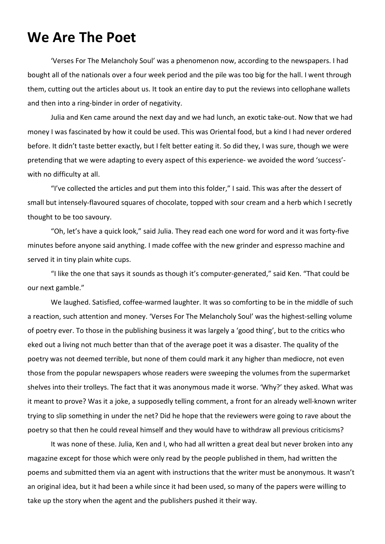## **We Are The Poet**

'Verses For The Melancholy Soul' was a phenomenon now, according to the newspapers. I had bought all of the nationals over a four week period and the pile was too big for the hall. I went through them, cutting out the articles about us. It took an entire day to put the reviews into cellophane wallets and then into a ring-binder in order of negativity.

Julia and Ken came around the next day and we had lunch, an exotic take-out. Now that we had money I was fascinated by how it could be used. This was Oriental food, but a kind I had never ordered before. It didn't taste better exactly, but I felt better eating it. So did they, I was sure, though we were pretending that we were adapting to every aspect of this experience- we avoided the word 'success' with no difficulty at all.

"I've collected the articles and put them into this folder," I said. This was after the dessert of small but intensely-flavoured squares of chocolate, topped with sour cream and a herb which I secretly thought to be too savoury.

"Oh, let's have a quick look," said Julia. They read each one word for word and it was forty-five minutes before anyone said anything. I made coffee with the new grinder and espresso machine and served it in tiny plain white cups.

"I like the one that says it sounds as though it's computer-generated," said Ken. "That could be our next gamble."

We laughed. Satisfied, coffee-warmed laughter. It was so comforting to be in the middle of such a reaction, such attention and money. 'Verses For The Melancholy Soul' was the highest-selling volume of poetry ever. To those in the publishing business it was largely a 'good thing', but to the critics who eked out a living not much better than that of the average poet it was a disaster. The quality of the poetry was not deemed terrible, but none of them could mark it any higher than mediocre, not even those from the popular newspapers whose readers were sweeping the volumes from the supermarket shelves into their trolleys. The fact that it was anonymous made it worse. 'Why?' they asked. What was it meant to prove? Was it a joke, a supposedly telling comment, a front for an already well-known writer trying to slip something in under the net? Did he hope that the reviewers were going to rave about the poetry so that then he could reveal himself and they would have to withdraw all previous criticisms?

It was none of these. Julia, Ken and I, who had all written a great deal but never broken into any magazine except for those which were only read by the people published in them, had written the poems and submitted them via an agent with instructions that the writer must be anonymous. It wasn't an original idea, but it had been a while since it had been used, so many of the papers were willing to take up the story when the agent and the publishers pushed it their way.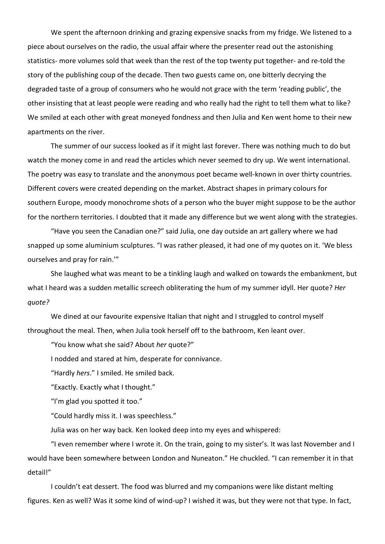We spent the afternoon drinking and grazing expensive snacks from my fridge. We listened to a piece about ourselves on the radio, the usual affair where the presenter read out the astonishing statistics- more volumes sold that week than the rest of the top twenty put together- and re-told the story of the publishing coup of the decade. Then two guests came on, one bitterly decrying the degraded taste of a group of consumers who he would not grace with the term 'reading public', the other insisting that at least people were reading and who really had the right to tell them what to like? We smiled at each other with great moneyed fondness and then Julia and Ken went home to their new apartments on the river.

The summer of our success looked as if it might last forever. There was nothing much to do but watch the money come in and read the articles which never seemed to dry up. We went international. The poetry was easy to translate and the anonymous poet became well-known in over thirty countries. Different covers were created depending on the market. Abstract shapes in primary colours for southern Europe, moody monochrome shots of a person who the buyer might suppose to be the author for the northern territories. I doubted that it made any difference but we went along with the strategies.

"Have you seen the Canadian one?" said Julia, one day outside an art gallery where we had snapped up some aluminium sculptures. "I was rather pleased, it had one of my quotes on it. 'We bless ourselves and pray for rain.'"

She laughed what was meant to be a tinkling laugh and walked on towards the embankment, but what I heard was a sudden metallic screech obliterating the hum of my summer idyll. Her quote? *Her quote?*

We dined at our favourite expensive Italian that night and I struggled to control myself throughout the meal. Then, when Julia took herself off to the bathroom, Ken leant over.

"You know what she said? About *her* quote?"

I nodded and stared at him, desperate for connivance.

"Hardly *hers*." I smiled. He smiled back.

"Exactly. Exactly what I thought."

"I'm glad you spotted it too."

"Could hardly miss it. I was speechless."

Julia was on her way back. Ken looked deep into my eyes and whispered:

"I even remember where I wrote it. On the train, going to my sister's. It was last November and I would have been somewhere between London and Nuneaton." He chuckled. "I can remember it in that detail!"

I couldn't eat dessert. The food was blurred and my companions were like distant melting figures. Ken as well? Was it some kind of wind-up? I wished it was, but they were not that type. In fact,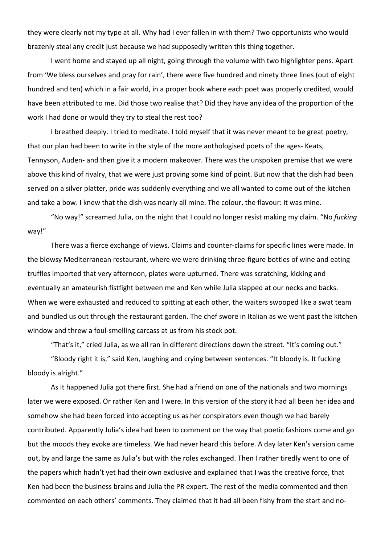they were clearly not my type at all. Why had I ever fallen in with them? Two opportunists who would brazenly steal any credit just because we had supposedly written this thing together.

I went home and stayed up all night, going through the volume with two highlighter pens. Apart from 'We bless ourselves and pray for rain', there were five hundred and ninety three lines (out of eight hundred and ten) which in a fair world, in a proper book where each poet was properly credited, would have been attributed to me. Did those two realise that? Did they have any idea of the proportion of the work I had done or would they try to steal the rest too?

I breathed deeply. I tried to meditate. I told myself that it was never meant to be great poetry, that our plan had been to write in the style of the more anthologised poets of the ages- Keats, Tennyson, Auden- and then give it a modern makeover. There was the unspoken premise that we were above this kind of rivalry, that we were just proving some kind of point. But now that the dish had been served on a silver platter, pride was suddenly everything and we all wanted to come out of the kitchen and take a bow. I knew that the dish was nearly all mine. The colour, the flavour: it was mine.

"No way!" screamed Julia, on the night that I could no longer resist making my claim. "No *fucking*  way!"

There was a fierce exchange of views. Claims and counter-claims for specific lines were made. In the blowsy Mediterranean restaurant, where we were drinking three-figure bottles of wine and eating truffles imported that very afternoon, plates were upturned. There was scratching, kicking and eventually an amateurish fistfight between me and Ken while Julia slapped at our necks and backs. When we were exhausted and reduced to spitting at each other, the waiters swooped like a swat team and bundled us out through the restaurant garden. The chef swore in Italian as we went past the kitchen window and threw a foul-smelling carcass at us from his stock pot.

"That's it," cried Julia, as we all ran in different directions down the street. "It's coming out."

"Bloody right it is," said Ken, laughing and crying between sentences. "It bloody is. It fucking bloody is alright."

As it happened Julia got there first. She had a friend on one of the nationals and two mornings later we were exposed. Or rather Ken and I were. In this version of the story it had all been her idea and somehow she had been forced into accepting us as her conspirators even though we had barely contributed. Apparently Julia's idea had been to comment on the way that poetic fashions come and go but the moods they evoke are timeless. We had never heard this before. A day later Ken's version came out, by and large the same as Julia's but with the roles exchanged. Then I rather tiredly went to one of the papers which hadn't yet had their own exclusive and explained that I was the creative force, that Ken had been the business brains and Julia the PR expert. The rest of the media commented and then commented on each others' comments. They claimed that it had all been fishy from the start and no-